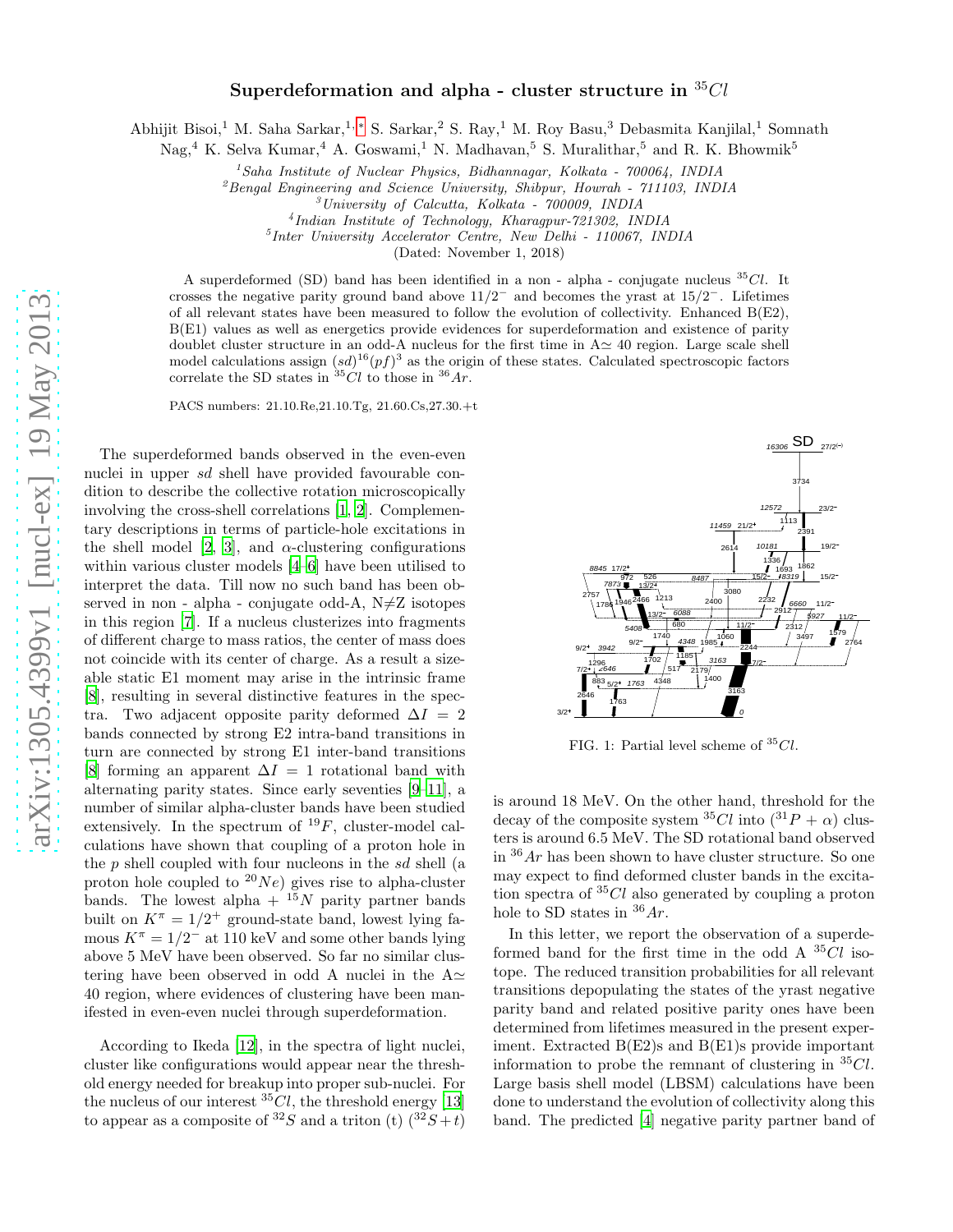## Superdeformation and alpha - cluster structure in  ${}^{35}Cl$

Abhijit Bisoi,<sup>1</sup> M. Saha Sarkar,1, [∗](#page-4-0) S. Sarkar,<sup>2</sup> S. Ray,<sup>1</sup> M. Roy Basu,<sup>3</sup> Debasmita Kanjilal,<sup>1</sup> Somnath

Nag,<sup>4</sup> K. Selva Kumar,<sup>4</sup> A. Goswami,<sup>1</sup> N. Madhavan,<sup>5</sup> S. Muralithar,<sup>5</sup> and R. K. Bhowmik<sup>5</sup>

 $1$ Saha Institute of Nuclear Physics, Bidhannagar, Kolkata - 700064, INDIA

 ${}^{2}$ Bengal Engineering and Science University, Shibpur, Howrah - 711103, INDIA

4 Indian Institute of Technology, Kharagpur-721302, INDIA

5 Inter University Accelerator Centre, New Delhi - 110067, INDIA

(Dated: November 1, 2018)

A superdeformed (SD) band has been identified in a non-alpha-conjugate nucleus  ${}^{35}Cl$ . It crosses the negative parity ground band above  $11/2^-$  and becomes the yrast at  $15/2^-$ . Lifetimes of all relevant states have been measured to follow the evolution of collectivity. Enhanced B(E2), B(E1) values as well as energetics provide evidences for superdeformation and existence of parity doublet cluster structure in an odd-A nucleus for the first time in  $A \simeq 40$  region. Large scale shell model calculations assign  $(sd)^{16}(pf)^3$  as the origin of these states. Calculated spectroscopic factors correlate the SD states in  ${}^{35}Cl$  to those in  ${}^{36}Ar$ .

PACS numbers: 21.10.Re,21.10.Tg, 21.60.Cs,27.30.+t

The superdeformed bands observed in the even-even nuclei in upper sd shell have provided favourable condition to describe the collective rotation microscopically involving the cross-shell correlations [\[1,](#page-4-1) [2](#page-4-2)]. Complementary descriptions in terms of particle-hole excitations in the shell model [\[2](#page-4-2), [3](#page-4-3)], and  $\alpha$ -clustering configurations within various cluster models [\[4](#page-4-4)[–6\]](#page-4-5) have been utilised to interpret the data. Till now no such band has been observed in non - alpha - conjugate odd-A,  $N\neq Z$  isotopes in this region [\[7](#page-4-6)]. If a nucleus clusterizes into fragments of different charge to mass ratios, the center of mass does not coincide with its center of charge. As a result a sizeable static E1 moment may arise in the intrinsic frame [\[8\]](#page-4-7), resulting in several distinctive features in the spectra. Two adjacent opposite parity deformed  $\Delta I = 2$ bands connected by strong E2 intra-band transitions in turn are connected by strong E1 inter-band transitions [\[8\]](#page-4-7) forming an apparent  $\Delta I = 1$  rotational band with alternating parity states. Since early seventies [\[9](#page-4-8)[–11\]](#page-4-9), a number of similar alpha-cluster bands have been studied extensively. In the spectrum of  $^{19}F$ , cluster-model calculations have shown that coupling of a proton hole in the  $p$  shell coupled with four nucleons in the  $sd$  shell (a proton hole coupled to  $^{20}Ne$ ) gives rise to alpha-cluster bands. The lowest alpha +  $^{15}N$  parity partner bands built on  $K^{\pi} = 1/2^{+}$  ground-state band, lowest lying famous  $K^{\pi} = 1/2^{-}$  at 110 keV and some other bands lying above 5 MeV have been observed. So far no similar clustering have been observed in odd A nuclei in the  $A\simeq$ 40 region, where evidences of clustering have been manifested in even-even nuclei through superdeformation.

According to Ikeda [\[12\]](#page-4-10), in the spectra of light nuclei, cluster like configurations would appear near the threshold energy needed for breakup into proper sub-nuclei. For the nucleus of our interest  ${}^{35}Cl$ , the threshold energy [\[13](#page-4-11)] to appear as a composite of  ${}^{32}S$  and a triton (t)  $({}^{32}S + t)$ 



<span id="page-0-0"></span>FIG. 1: Partial level scheme of  ${}^{35}Cl$ .

is around 18 MeV. On the other hand, threshold for the decay of the composite system  ${}^{35}Cl$  into  $({}^{31}P + \alpha)$  clusters is around 6.5 MeV. The SD rotational band observed in  $36Ar$  has been shown to have cluster structure. So one may expect to find deformed cluster bands in the excitation spectra of  ${}^{35}Cl$  also generated by coupling a proton hole to SD states in  $36Ar$ .

In this letter, we report the observation of a superdeformed band for the first time in the odd A  $^{35}Cl$  isotope. The reduced transition probabilities for all relevant transitions depopulating the states of the yrast negative parity band and related positive parity ones have been determined from lifetimes measured in the present experiment. Extracted B(E2)s and B(E1)s provide important information to probe the remnant of clustering in  ${}^{35}Cl$ . Large basis shell model (LBSM) calculations have been done to understand the evolution of collectivity along this band. The predicted [\[4](#page-4-4)] negative parity partner band of

<sup>3</sup>University of Calcutta, Kolkata - 700009, INDIA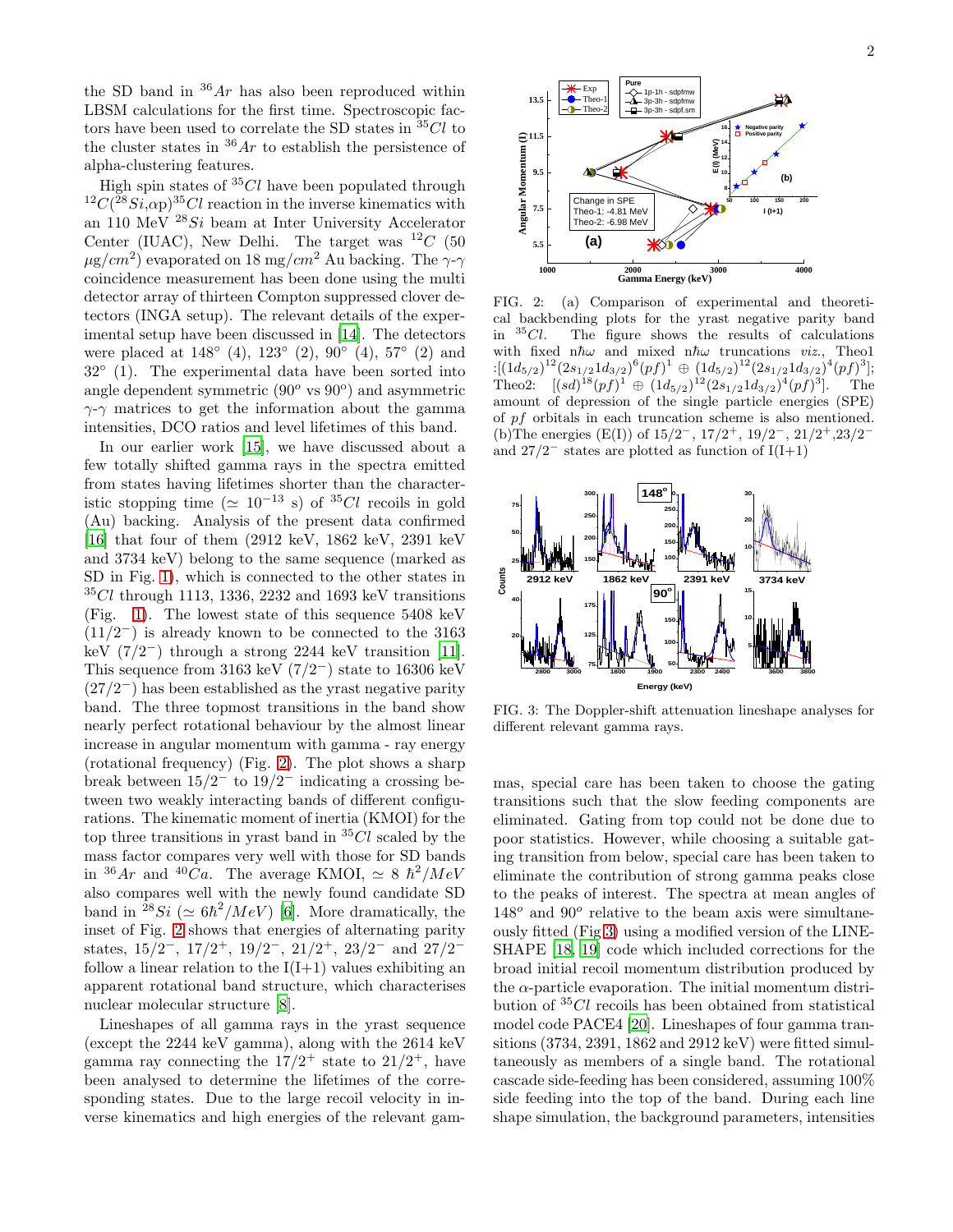the SD band in  $36Ar$  has also been reproduced within LBSM calculations for the first time. Spectroscopic factors have been used to correlate the SD states in  ${}^{35}Cl$  to the cluster states in  $36Ar$  to establish the persistence of alpha-clustering features.

High spin states of  ${}^{35}Cl$  have been populated through <sup>12</sup>C(<sup>28</sup>Si, $\alpha$ p)<sup>35</sup>Cl reaction in the inverse kinematics with an 110 MeV  $^{28}Si$  beam at Inter University Accelerator Center (IUAC), New Delhi. The target was  $^{12}C$  (50  $\mu$ g/cm<sup>2</sup>) evaporated on 18 mg/cm<sup>2</sup> Au backing. The  $\gamma$ - $\gamma$ coincidence measurement has been done using the multi detector array of thirteen Compton suppressed clover detectors (INGA setup). The relevant details of the experimental setup have been discussed in [\[14\]](#page-4-12). The detectors were placed at  $148°(4)$ ,  $123°(2)$ ,  $90°(4)$ ,  $57°(2)$  and 32◦ (1). The experimental data have been sorted into angle dependent symmetric  $(90^{\circ} \text{ vs } 90^{\circ})$  and asymmetric  $\gamma$ - $\gamma$  matrices to get the information about the gamma intensities, DCO ratios and level lifetimes of this band.

In our earlier work [\[15\]](#page-4-13), we have discussed about a few totally shifted gamma rays in the spectra emitted from states having lifetimes shorter than the characteristic stopping time ( $\simeq 10^{-13}$  s) of <sup>35</sup>Cl recoils in gold (Au) backing. Analysis of the present data confirmed [\[16\]](#page-4-14) that four of them (2912 keV, 1862 keV, 2391 keV and 3734 keV) belong to the same sequence (marked as SD in Fig. [1\)](#page-0-0), which is connected to the other states in  $35Cl$  through 1113, 1336, 2232 and 1693 keV transitions (Fig. [1\)](#page-0-0). The lowest state of this sequence 5408 keV  $(11/2^-)$  is already known to be connected to the 3163 keV  $(7/2^-)$  through a strong 2244 keV transition [\[11\]](#page-4-9). This sequence from 3163 keV  $(7/2^-)$  state to 16306 keV  $(27/2<sup>-</sup>)$  has been established as the yrast negative parity band. The three topmost transitions in the band show nearly perfect rotational behaviour by the almost linear increase in angular momentum with gamma - ray energy (rotational frequency) (Fig. [2\)](#page-1-0). The plot shows a sharp break between  $15/2^-$  to  $19/2^-$  indicating a crossing between two weakly interacting bands of different configurations. The kinematic moment of inertia (KMOI) for the top three transitions in yrast band in  ${}^{35}Cl$  scaled by the mass factor compares very well with those for SD bands in  ${}^{36}Ar$  and  ${}^{40}Ca$ . The average KMOI,  $\simeq 8 \hbar^2/MeV$ also compares well with the newly found candidate SD band in <sup>28</sup>Si ( $\simeq 6\hbar^2/MeV$ ) [\[6\]](#page-4-5). More dramatically, the inset of Fig. [2](#page-1-0) shows that energies of alternating parity states,  $15/2^-$ ,  $17/2^+$ ,  $19/2^-$ ,  $21/2^+$ ,  $23/2^-$  and  $27/2^$ follow a linear relation to the  $I(I+1)$  values exhibiting an apparent rotational band structure, which characterises nuclear molecular structure [\[8\]](#page-4-7).

Lineshapes of all gamma rays in the yrast sequence (except the 2244 keV gamma), along with the 2614 keV gamma ray connecting the  $17/2^+$  state to  $21/2^+$ , have been analysed to determine the lifetimes of the corresponding states. Due to the large recoil velocity in inverse kinematics and high energies of the relevant gam-



<span id="page-1-0"></span>FIG. 2: (a) Comparison of experimental and theoretical backbending plots for the yrast negative parity band<br>in  $35Cl$ . The figure shows the results of calculations The figure shows the results of calculations with fixed n $\hbar\omega$  and mixed n $\hbar\omega$  truncations *viz.*, Theo1  $:[(1d_{5/2})^{12}(2s_{1/2}1d_{3/2})^6(pf)^1 \oplus (1d_{5/2})^{12}(2s_{1/2}1d_{3/2})^4(pf)^3];$ Theo2:  $[(sd)^{18}(pf)^1 \oplus (1d_{5/2})^{12}(2s_{1/2}1d_{3/2})^4(pf)^3]$ . The amount of depression of the single particle energies (SPE) of pf orbitals in each truncation scheme is also mentioned. (b)The energies  $(E(I))$  of  $15/2^-$ ,  $17/2^+$ ,  $19/2^-$ ,  $21/2^+$ ,  $23/2^$ and  $27/2^-$  states are plotted as function of  $I(I+1)$ 



<span id="page-1-1"></span>FIG. 3: The Doppler-shift attenuation lineshape analyses for different relevant gamma rays.

mas, special care has been taken to choose the gating transitions such that the slow feeding components are eliminated. Gating from top could not be done due to poor statistics. However, while choosing a suitable gating transition from below, special care has been taken to eliminate the contribution of strong gamma peaks close to the peaks of interest. The spectra at mean angles of  $148^o$  and  $90^o$  relative to the beam axis were simultaneously fitted (Fig [3\)](#page-1-1) using a modified version of the LINE-SHAPE [\[18](#page-4-15), [19\]](#page-4-16) code which included corrections for the broad initial recoil momentum distribution produced by the  $\alpha$ -particle evaporation. The initial momentum distribution of  ${}^{35}Cl$  recoils has been obtained from statistical model code PACE4 [\[20\]](#page-4-17). Lineshapes of four gamma transitions (3734, 2391, 1862 and 2912 keV) were fitted simultaneously as members of a single band. The rotational cascade side-feeding has been considered, assuming 100% side feeding into the top of the band. During each line shape simulation, the background parameters, intensities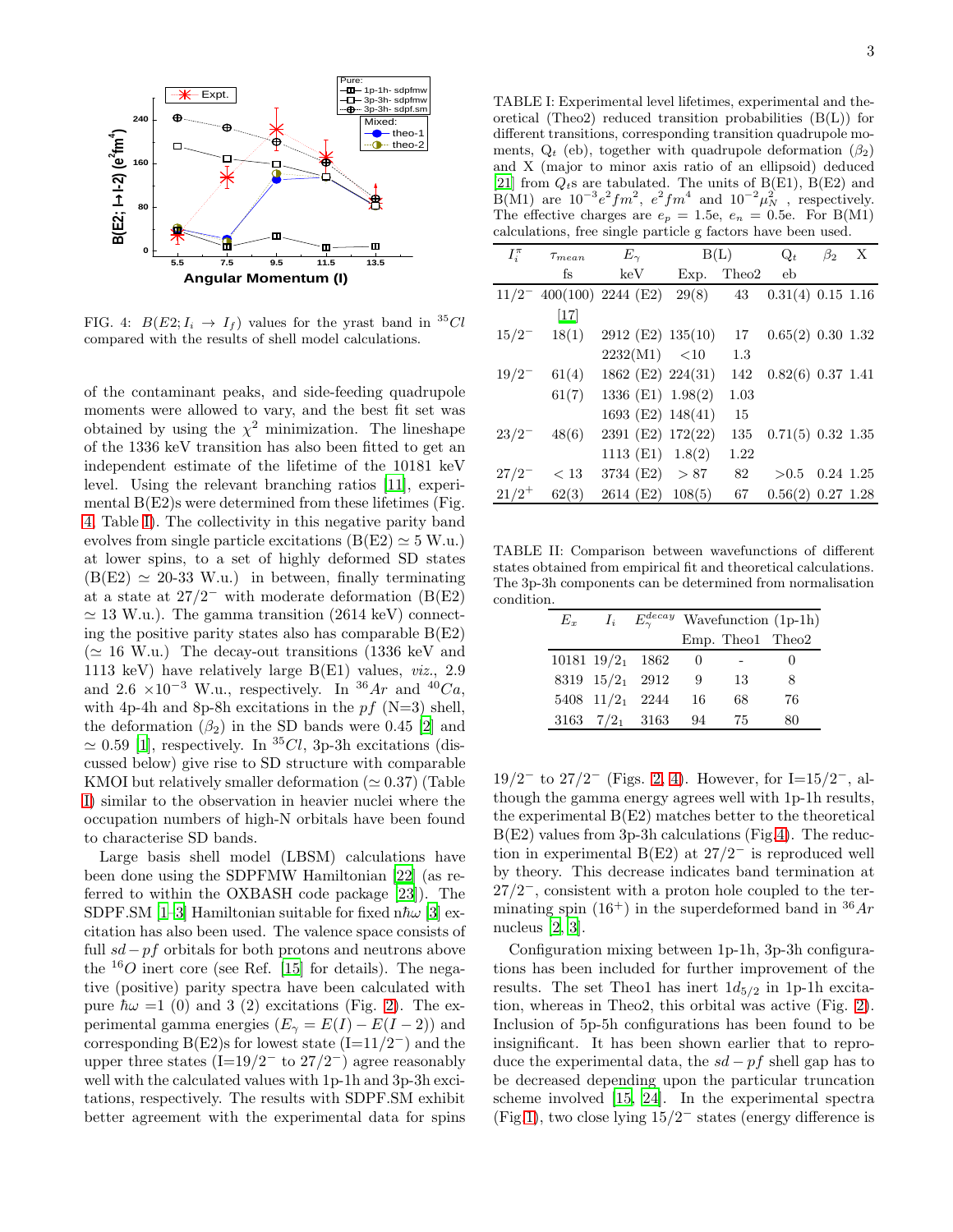

<span id="page-2-0"></span>FIG. 4:  $B(E2; I_i \rightarrow I_f)$  values for the yrast band in <sup>35</sup>Cl compared with the results of shell model calculations.

of the contaminant peaks, and side-feeding quadrupole moments were allowed to vary, and the best fit set was obtained by using the  $\chi^2$  minimization. The lineshape of the 1336 keV transition has also been fitted to get an independent estimate of the lifetime of the 10181 keV level. Using the relevant branching ratios [\[11\]](#page-4-9), experimental  $B(E2)$ s were determined from these lifetimes (Fig. [4,](#page-2-0) Table [I\)](#page-2-1). The collectivity in this negative parity band evolves from single particle excitations (B(E2)  $\simeq$  5 W.u.) at lower spins, to a set of highly deformed SD states  $(B(E2) \approx 20-33$  W.u.) in between, finally terminating at a state at  $27/2^-$  with moderate deformation  $(B(E2))$  $\simeq$  13 W.u.). The gamma transition (2614 keV) connecting the positive parity states also has comparable  $B(E2)$  $(\simeq 16 \text{ W.u.})$  The decay-out transitions (1336 keV and 1113 keV) have relatively large B(E1) values, viz., 2.9 and 2.6 ×10<sup>-3</sup> W.u., respectively. In <sup>36</sup>Ar and <sup>40</sup>Ca, with 4p-4h and 8p-8h excitations in the  $pf(N=3)$  shell, the deformation  $(\beta_2)$  in the SD bands were 0.45 [\[2\]](#page-4-2) and  $\simeq 0.59$  [\[1\]](#page-4-1), respectively. In <sup>35</sup>Cl, 3p-3h excitations (discussed below) give rise to SD structure with comparable KMOI but relatively smaller deformation ( $\simeq 0.37$ ) (Table [I\)](#page-2-1) similar to the observation in heavier nuclei where the occupation numbers of high-N orbitals have been found to characterise SD bands.

Large basis shell model (LBSM) calculations have been done using the SDPFMW Hamiltonian [\[22\]](#page-4-18) (as referred to within the OXBASH code package [\[23](#page-4-19)]). The SDPF.SM [\[1](#page-4-1)[–3\]](#page-4-3) Hamiltonian suitable for fixed n $\hbar\omega$  [\[3\]](#page-4-3) excitation has also been used. The valence space consists of full  $sd-pf$  orbitals for both protons and neutrons above the  $^{16}O$  inert core (see Ref. [\[15\]](#page-4-13) for details). The negative (positive) parity spectra have been calculated with pure  $\hbar\omega = 1$  (0) and 3 (2) excitations (Fig. [2\)](#page-1-0). The experimental gamma energies  $(E_{\gamma} = E(I) - E(I - 2))$  and corresponding B(E2)s for lowest state  $(I=11/2^-)$  and the upper three states (I=19/2<sup>-</sup> to 27/2<sup>-</sup>) agree reasonably well with the calculated values with 1p-1h and 3p-3h excitations, respectively. The results with SDPF.SM exhibit better agreement with the experimental data for spins

<span id="page-2-1"></span>TABLE I: Experimental level lifetimes, experimental and theoretical (Theo2) reduced transition probabilities  $(B(L))$  for different transitions, corresponding transition quadrupole moments,  $Q_t$  (eb), together with quadrupole deformation  $(\beta_2)$ and X (major to minor axis ratio of an ellipsoid) deduced [\[21\]](#page-4-20) from  $Q_t$ s are tabulated. The units of B(E1), B(E2) and B(M1) are  $10^{-3}e^2fm^2$ ,  $e^2fm^4$  and  $10^{-2}\mu_N^2$ , respectively. The effective charges are  $e_p = 1.5$ e,  $e_n = 0.5$ e. For B(M1) calculations, free single particle g factors have been used.

| $I_i^{\pi}$ | $\tau_{mean}$  | $E_\gamma$                  |      | B(L)  | $Q_t$                        | $\beta_2$ | X |
|-------------|----------------|-----------------------------|------|-------|------------------------------|-----------|---|
|             | fs             | keV                         | Exp. | Theo2 | eb                           |           |   |
|             |                | $11/2^-$ 400(100) 2244 (E2) |      |       | $29(8)$ 43 0.31(4) 0.15 1.16 |           |   |
|             | $[17]$         |                             |      |       |                              |           |   |
|             | $15/2^-$ 18(1) | 2912 (E2) 135(10)           |      | 17    | $0.65(2)$ $0.30$ $1.32$      |           |   |
|             |                | 2232(M1) < 10               |      | 1.3   |                              |           |   |
| $19/2^{-}$  | 61(4)          | 1862 (E2) 224(31)           |      | 142   | $0.82(6)$ 0.37 1.41          |           |   |
|             | 61(7)          | 1336 (E1) 1.98(2)           |      | 1.03  |                              |           |   |
|             |                | 1693 (E2) 148(41)           |      | 15    |                              |           |   |
| $23/2^{-}$  | 48(6)          | 2391 (E2) 172(22)           |      | 135   | $0.71(5)$ 0.32 1.35          |           |   |
|             |                | 1113 (E1) 1.8(2)            |      | 1.22  |                              |           |   |
| $27/2^{-}$  | < 13           | 3734 (E2) $> 87$            |      | 82    | $>0.5$ 0.24 1.25             |           |   |
| $21/2^+$    | 62(3)          | 2614 (E2) 108(5)            |      | 67    | $0.56(2)$ $0.27$ 1.28        |           |   |

TABLE II: Comparison between wavefunctions of different states obtained from empirical fit and theoretical calculations. The 3p-3h components can be determined from normalisation condition.

<span id="page-2-2"></span>

| $E_x$ |                                | $I_i$ $E_{\gamma}^{decay}$ Wavefunction (1p-1h) |                  |     |  |
|-------|--------------------------------|-------------------------------------------------|------------------|-----|--|
|       |                                |                                                 | Emp. Theo1 Theo2 |     |  |
|       | 10181 $19/2$ <sub>1</sub> 1862 | $\theta$                                        |                  |     |  |
|       | 8319 15/21 2912                | 9                                               | 13               | 8   |  |
|       | $5408$ $11/2_1$ 2244           | 16                                              | 68               | 76  |  |
|       | 3163 $7/2_1$ 3163              | 94                                              | 75               | ×۱۱ |  |

 $19/2^-$  to  $27/2^-$  (Figs. [2,](#page-1-0) [4\)](#page-2-0). However, for I=15/2<sup>-</sup>, although the gamma energy agrees well with 1p-1h results, the experimental B(E2) matches better to the theoretical B(E2) values from 3p-3h calculations (Fig[.4\)](#page-2-0). The reduction in experimental B(E2) at  $27/2^-$  is reproduced well by theory. This decrease indicates band termination at  $27/2$ <sup>-</sup>, consistent with a proton hole coupled to the terminating spin  $(16^+)$  in the superdeformed band in  $36Ar$ nucleus [\[2,](#page-4-2) [3](#page-4-3)].

Configuration mixing between 1p-1h, 3p-3h configurations has been included for further improvement of the results. The set Theo1 has inert  $1d_{5/2}$  in 1p-1h excitation, whereas in Theo2, this orbital was active (Fig. [2\)](#page-1-0). Inclusion of 5p-5h configurations has been found to be insignificant. It has been shown earlier that to reproduce the experimental data, the  $sd - pf$  shell gap has to be decreased depending upon the particular truncation scheme involved [\[15,](#page-4-13) [24](#page-4-22)]. In the experimental spectra (Fig[.1\)](#page-0-0), two close lying  $15/2^-$  states (energy difference is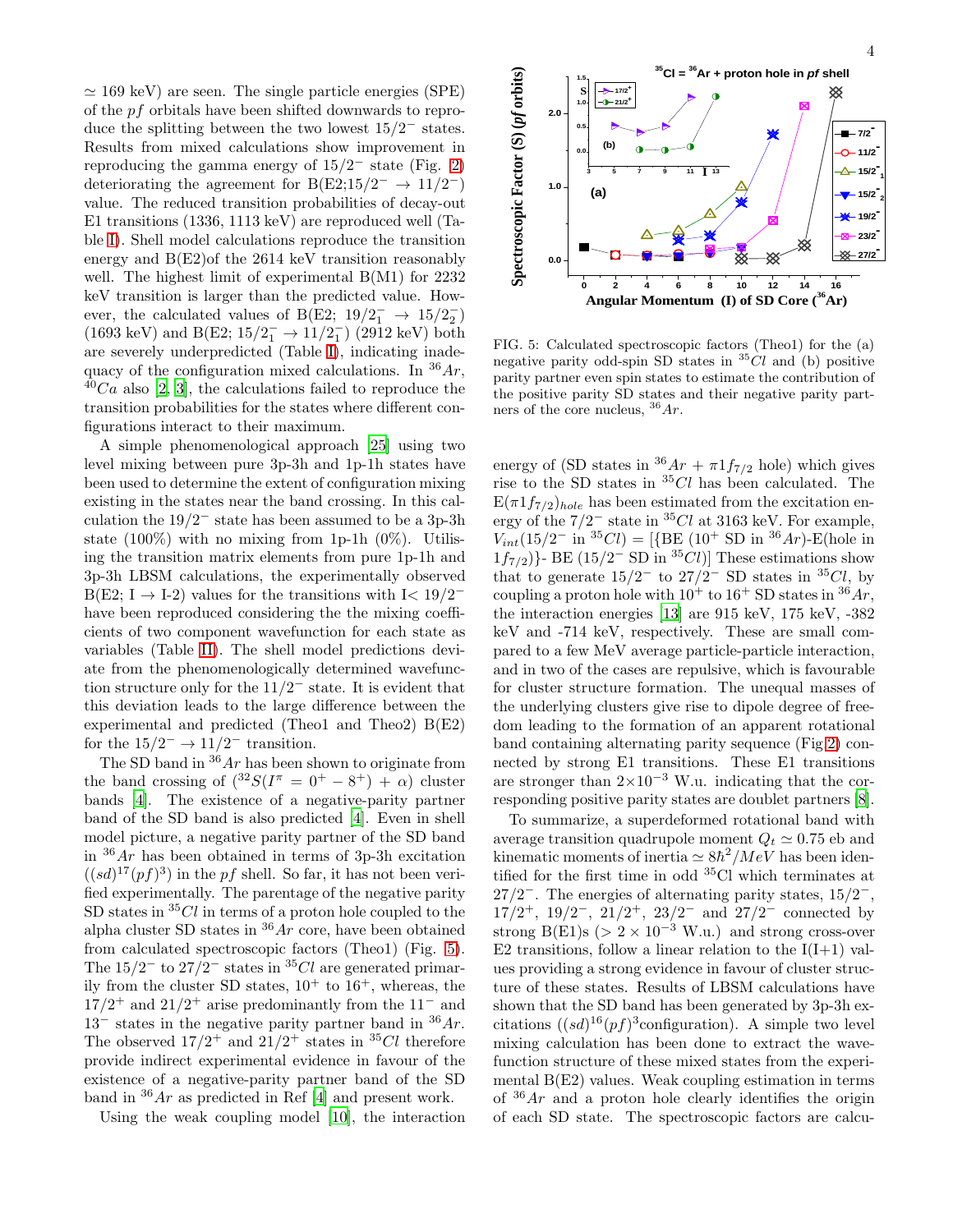$\simeq$  169 keV) are seen. The single particle energies (SPE) of the pf orbitals have been shifted downwards to reproduce the splitting between the two lowest  $15/2^-$  states. Results from mixed calculations show improvement in reproducing the gamma energy of  $15/2^-$  state (Fig. [2\)](#page-1-0) deteriorating the agreement for B(E2;15/2<sup>-</sup>  $\rightarrow$  11/2<sup>-</sup>) value. The reduced transition probabilities of decay-out E1 transitions (1336, 1113 keV) are reproduced well (Table [I\)](#page-2-1). Shell model calculations reproduce the transition energy and B(E2)of the 2614 keV transition reasonably well. The highest limit of experimental B(M1) for 2232 keV transition is larger than the predicted value. However, the calculated values of B(E2;  $19/2_1^- \rightarrow 15/2_2^ _{2}^{-}$ (1693 keV) and B(E2;  $15/2^-_1 \rightarrow 11/2^-_1$  $_1^-$ ) (2912 keV) both are severely underpredicted (Table [I\)](#page-2-1), indicating inadequacy of the configuration mixed calculations. In  $36Ar$ ,  $^{40}Ca$  also [\[2](#page-4-2), [3](#page-4-3)], the calculations failed to reproduce the transition probabilities for the states where different configurations interact to their maximum.

A simple phenomenological approach [\[25](#page-4-23)] using two level mixing between pure 3p-3h and 1p-1h states have been used to determine the extent of configuration mixing existing in the states near the band crossing. In this calculation the  $19/2^-$  state has been assumed to be a 3p-3h state  $(100\%)$  with no mixing from 1p-1h  $(0\%)$ . Utilising the transition matrix elements from pure 1p-1h and 3p-3h LBSM calculations, the experimentally observed  $B(E2; I \rightarrow I-2)$  values for the transitions with  $I < 19/2^-$ have been reproduced considering the the mixing coefficients of two component wavefunction for each state as variables (Table [II\)](#page-2-2). The shell model predictions deviate from the phenomenologically determined wavefunction structure only for the  $11/2^-$  state. It is evident that this deviation leads to the large difference between the experimental and predicted (Theo1 and Theo2) B(E2) for the  $15/2^- \rightarrow 11/2^-$  transition.

The SD band in  $36Ar$  has been shown to originate from the band crossing of  $(^{32}S(I^{\pi} = 0^+ - 8^+) + \alpha)$  cluster bands [\[4](#page-4-4)]. The existence of a negative-parity partner band of the SD band is also predicted [\[4\]](#page-4-4). Even in shell model picture, a negative parity partner of the SD band in  $36Ar$  has been obtained in terms of 3p-3h excitation  $((sd)^{17}(pf)^3)$  in the pf shell. So far, it has not been verified experimentally. The parentage of the negative parity SD states in  ${}^{35}Cl$  in terms of a proton hole coupled to the alpha cluster SD states in  $36Ar$  core, have been obtained from calculated spectroscopic factors (Theo1) (Fig. [5\)](#page-3-0). The  $15/2^-$  to  $27/2^-$  states in <sup>35</sup>Cl are generated primarily from the cluster SD states,  $10^+$  to  $16^+$ , whereas, the  $17/2$ <sup>+</sup> and  $21/2$ <sup>+</sup> arise predominantly from the 11<sup>-</sup> and  $13^-$  states in the negative parity partner band in  $36Ar$ . The observed  $17/2^+$  and  $21/2^+$  states in <sup>35</sup>Cl therefore provide indirect experimental evidence in favour of the existence of a negative-parity partner band of the SD band in  $36Ar$  as predicted in Ref [\[4\]](#page-4-4) and present work.

Using the weak coupling model [\[10](#page-4-24)], the interaction



<span id="page-3-0"></span>FIG. 5: Calculated spectroscopic factors (Theo1) for the (a) negative parity odd-spin SD states in  ${}^{35}Cl$  and (b) positive parity partner even spin states to estimate the contribution of the positive parity SD states and their negative parity partners of the core nucleus,  $36Ar$ .

energy of (SD states in  ${}^{36}Ar + \pi 1f_{7/2}$  hole) which gives rise to the SD states in  ${}^{35}Cl$  has been calculated. The  $E(\pi 1f_{7/2})_{hole}$  has been estimated from the excitation energy of the  $7/2^-$  state in <sup>35</sup>Cl at 3163 keV. For example,  $V_{int}$ (15/2<sup>-</sup> in <sup>35</sup>Cl) = [{BE (10<sup>+</sup> SD in <sup>36</sup>Ar)-E(hole in  $1f_{7/2}$ }- BE (15/2<sup>-</sup> SD in <sup>35</sup>*Cl*)] These estimations show that to generate  $15/2^-$  to  $27/2^-$  SD states in <sup>35</sup>Cl, by coupling a proton hole with  $10^+$  to  $16^+$  SD states in  $36Ar$ , the interaction energies [\[13](#page-4-11)] are 915 keV, 175 keV, -382 keV and -714 keV, respectively. These are small compared to a few MeV average particle-particle interaction, and in two of the cases are repulsive, which is favourable for cluster structure formation. The unequal masses of the underlying clusters give rise to dipole degree of freedom leading to the formation of an apparent rotational band containing alternating parity sequence (Fig[.2\)](#page-1-0) connected by strong E1 transitions. These E1 transitions are stronger than  $2\times10^{-3}$  W.u. indicating that the corresponding positive parity states are doublet partners [\[8\]](#page-4-7).

To summarize, a superdeformed rotational band with average transition quadrupole moment  $Q_t \simeq 0.75$  eb and kinematic moments of inertia  $\simeq 8\hbar^2/MeV$  has been identified for the first time in odd <sup>35</sup>Cl which terminates at  $27/2^-$ . The energies of alternating parity states,  $15/2^-$ ,  $17/2^+$ ,  $19/2^-$ ,  $21/2^+$ ,  $23/2^-$  and  $27/2^-$  connected by strong B(E1)s ( $> 2 \times 10^{-3}$  W.u.) and strong cross-over E2 transitions, follow a linear relation to the  $I(I+1)$  values providing a strong evidence in favour of cluster structure of these states. Results of LBSM calculations have shown that the SD band has been generated by 3p-3h excitations  $((sd)^{16}(pf)^3$ configuration). A simple two level mixing calculation has been done to extract the wavefunction structure of these mixed states from the experimental B(E2) values. Weak coupling estimation in terms of  $36Ar$  and a proton hole clearly identifies the origin of each SD state. The spectroscopic factors are calcu